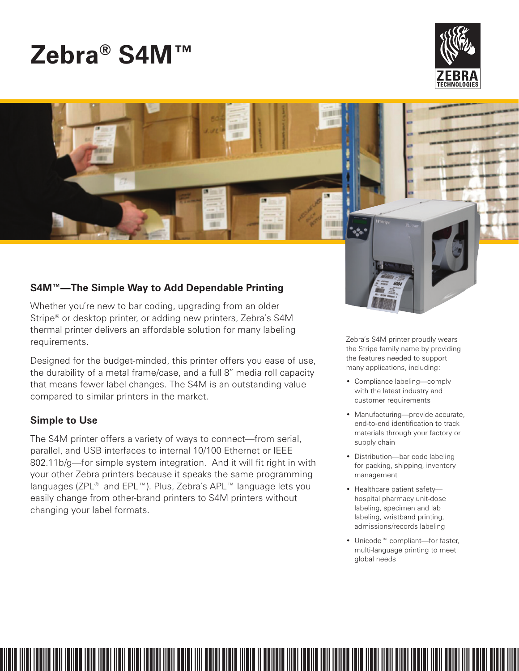# **Zebra® S4M™**





# **S4M™—The Simple Way to Add Dependable Printing**

Whether you're new to bar coding, upgrading from an older Stripe® or desktop printer, or adding new printers, Zebra's S4M thermal printer delivers an affordable solution for many labeling requirements.

Designed for the budget-minded, this printer offers you ease of use, the durability of a metal frame/case, and a full 8" media roll capacity that means fewer label changes. The S4M is an outstanding value compared to similar printers in the market.

# **Simple to Use**

The S4M printer offers a variety of ways to connect—from serial, parallel, and USB interfaces to internal 10/100 Ethernet or IEEE 802.11b/g—for simple system integration. And it will fit right in with your other Zebra printers because it speaks the same programming languages (ZPL® and EPL™). Plus, Zebra's APL™ language lets you easily change from other-brand printers to S4M printers without changing your label formats.

Zebra's S4M printer proudly wears the Stripe family name by providing the features needed to support many applications, including:

- Compliance labeling—comply with the latest industry and customer requirements
- Manufacturing—provide accurate, end-to-end identification to track materials through your factory or supply chain
- Distribution—bar code labeling for packing, shipping, inventory management
- Healthcare patient safety hospital pharmacy unit-dose labeling, specimen and lab labeling, wristband printing, admissions/records labeling
- Unicode™ compliant—for faster, multi-language printing to meet global needs